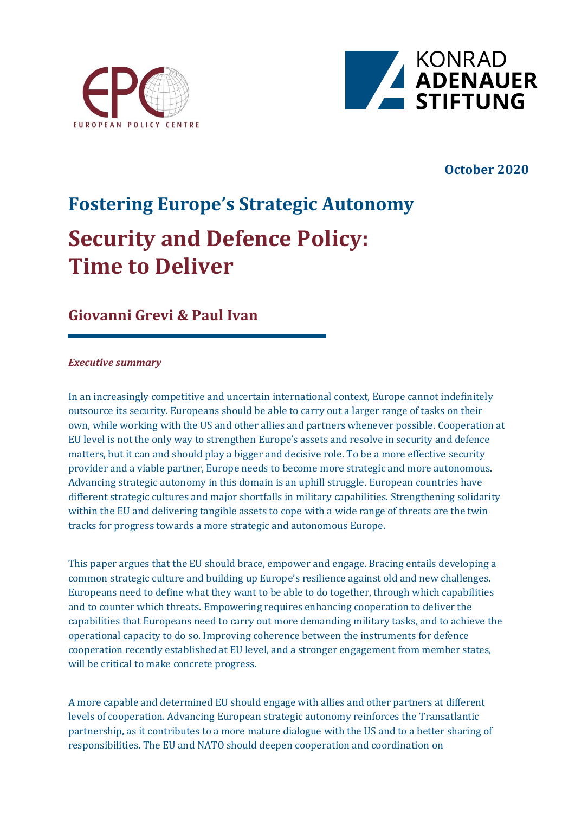



## **October 2020**

# **Fostering Europe's Strategic Autonomy Security and Defence Policy: Time to Deliver**

# **Giovanni Grevi & Paul Ivan**

### *Executive summary*

In an increasingly competitive and uncertain international context, Europe cannot indefinitely outsource its security. Europeans should be able to carry out a larger range of tasks on their own, while working with the US and other allies and partners whenever possible. Cooperation at EU level is not the only way to strengthen Europe's assets and resolve in security and defence matters, but it can and should play a bigger and decisive role. To be a more effective security provider and a viable partner, Europe needs to become more strategic and more autonomous. Advancing strategic autonomy in this domain is an uphill struggle. European countries have different strategic cultures and major shortfalls in military capabilities. Strengthening solidarity within the EU and delivering tangible assets to cope with a wide range of threats are the twin tracks for progress towards a more strategic and autonomous Europe.

This paper argues that the EU should brace, empower and engage. Bracing entails developing a common strategic culture and building up Europe's resilience against old and new challenges. Europeans need to define what they want to be able to do together, through which capabilities and to counter which threats. Empowering requires enhancing cooperation to deliver the capabilities that Europeans need to carry out more demanding military tasks, and to achieve the operational capacity to do so. Improving coherence between the instruments for defence cooperation recently established at EU level, and a stronger engagement from member states, will be critical to make concrete progress.

A more capable and determined EU should engage with allies and other partners at different levels of cooperation. Advancing European strategic autonomy reinforces the Transatlantic partnership, as it contributes to a more mature dialogue with the US and to a better sharing of responsibilities. The EU and NATO should deepen cooperation and coordination on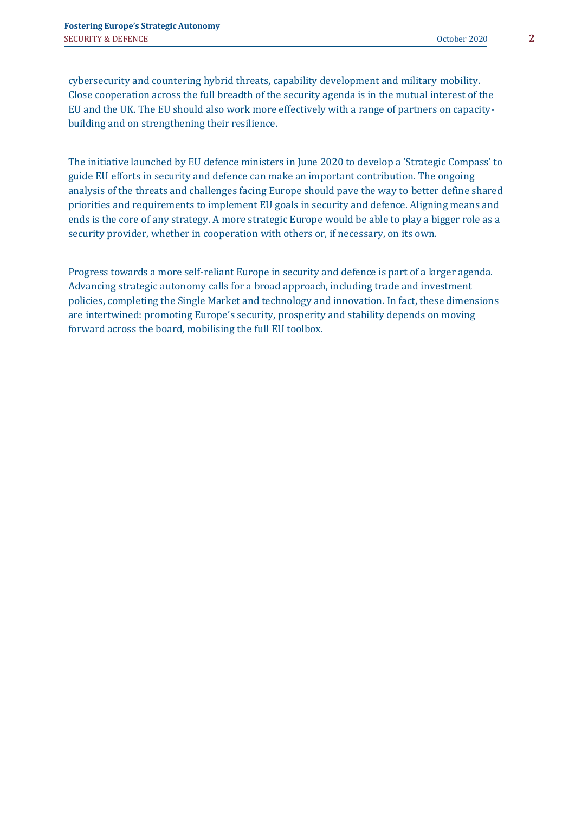cybersecurity and countering hybrid threats, capability development and military mobility. Close cooperation across the full breadth of the security agenda is in the mutual interest of the EU and the UK. The EU should also work more effectively with a range of partners on capacitybuilding and on strengthening their resilience.

The initiative launched by EU defence ministers in June 2020 to develop a 'Strategic Compass' to guide EU efforts in security and defence can make an important contribution. The ongoing analysis of the threats and challenges facing Europe should pave the way to better define shared priorities and requirements to implement EU goals in security and defence. Aligning means and ends is the core of any strategy. A more strategic Europe would be able to play a bigger role as a security provider, whether in cooperation with others or, if necessary, on its own.

Progress towards a more self-reliant Europe in security and defence is part of a larger agenda. Advancing strategic autonomy calls for a broad approach, including trade and investment policies, completing the Single Market and technology and innovation. In fact, these dimensions are intertwined: promoting Europe's security, prosperity and stability depends on moving forward across the board, mobilising the full EU toolbox.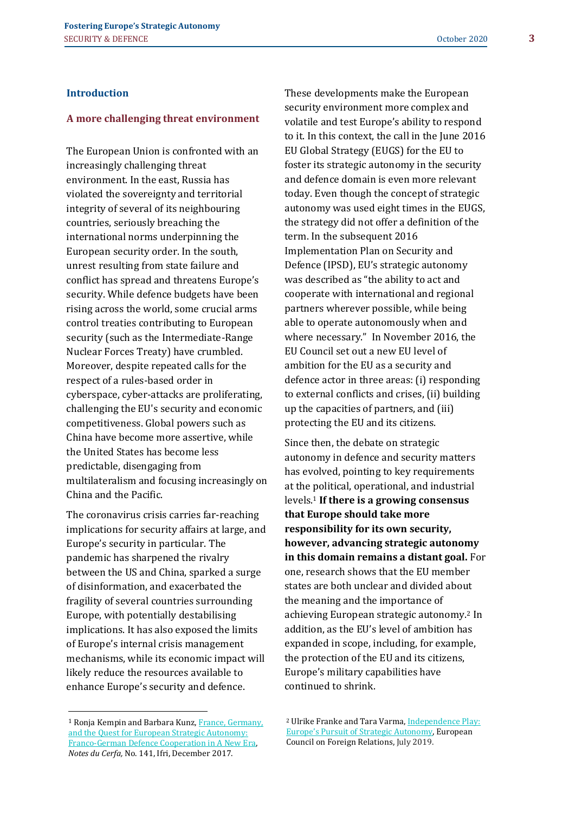### **Introduction**

#### **A more challenging threat environment**

The European Union is confronted with an increasingly challenging threat environment. In the east, Russia has violated the sovereignty and territorial integrity of several of its neighbouring countries, seriously breaching the international norms underpinning the European security order. In the south, unrest resulting from state failure and conflict has spread and threatens Europe's security. While defence budgets have been rising across the world, some crucial arms control treaties contributing to European security (such as the Intermediate-Range Nuclear Forces Treaty) have crumbled. Moreover, despite repeated calls for the respect of a rules-based order in cyberspace, cyber-attacks are proliferating, challenging the EU's security and economic competitiveness. Global powers such as China have become more assertive, while the United States has become less predictable, disengaging from multilateralism and focusing increasingly on China and the Pacific.

The coronavirus crisis carries far-reaching implications for security affairs at large, and Europe's security in particular. The pandemic has sharpened the rivalry between the US and China, sparked a surge of disinformation, and exacerbated the fragility of several countries surrounding Europe, with potentially destabilising implications. It has also exposed the limits of Europe's internal crisis management mechanisms, while its economic impact will likely reduce the resources available to enhance Europe's security and defence.

These developments make the European security environment more complex and volatile and test Europe's ability to respond to it. In this context, the call in the June 2016 EU Global Strategy (EUGS) for the EU to foster its strategic autonomy in the security and defence domain is even more relevant today. Even though the concept of strategic autonomy was used eight times in the EUGS, the strategy did not offer a definition of the term. In the subsequent 2016 Implementation Plan on Security and Defence (IPSD), EU's strategic autonomy was described as "the ability to act and cooperate with international and regional partners wherever possible, while being able to operate autonomously when and where necessary." In November 2016, the EU Council set out a new EU level of ambition for the EU as a security and defence actor in three areas: (i) responding to external conflicts and crises, (ii) building up the capacities of partners, and (iii) protecting the EU and its citizens.

Since then, the debate on strategic autonomy in defence and security matters has evolved, pointing to key requirements at the political, operational, and industrial levels.<sup>1</sup> **If there is a growing consensus that Europe should take more responsibility for its own security, however, advancing strategic autonomy in this domain remains a distant goal.** For one, research shows that the EU member states are both unclear and divided about the meaning and the importance of achieving European strategic autonomy.<sup>2</sup> In addition, as the EU's level of ambition has expanded in scope, including, for example, the protection of the EU and its citizens, Europe's military capabilities have continued to shrink.

<sup>1</sup> Ronja Kempin and Barbara Kunz, [France, Germany,](https://www.ifri.org/sites/default/files/atoms/files/ndc_141_kempin_kunz_france_germany_european_strategic_autonomy_dec_2017.pdf)  [and the Quest for European Strategic Autonomy:](https://www.ifri.org/sites/default/files/atoms/files/ndc_141_kempin_kunz_france_germany_european_strategic_autonomy_dec_2017.pdf)  [Franco-German Defence Cooperation in A New Era,](https://www.ifri.org/sites/default/files/atoms/files/ndc_141_kempin_kunz_france_germany_european_strategic_autonomy_dec_2017.pdf) *Notes du Cerfa,* No. 141, Ifri, December 2017.

<sup>&</sup>lt;sup>2</sup> Ulrike Franke and Tara Varma, Independence Play: [Europe's Pursuit of Strategic Autonomy](https://www.ecfr.eu/specials/scorecard/independence_play_europes_pursuit_of_strategic_autonomy), European Council on Foreign Relations, July 2019.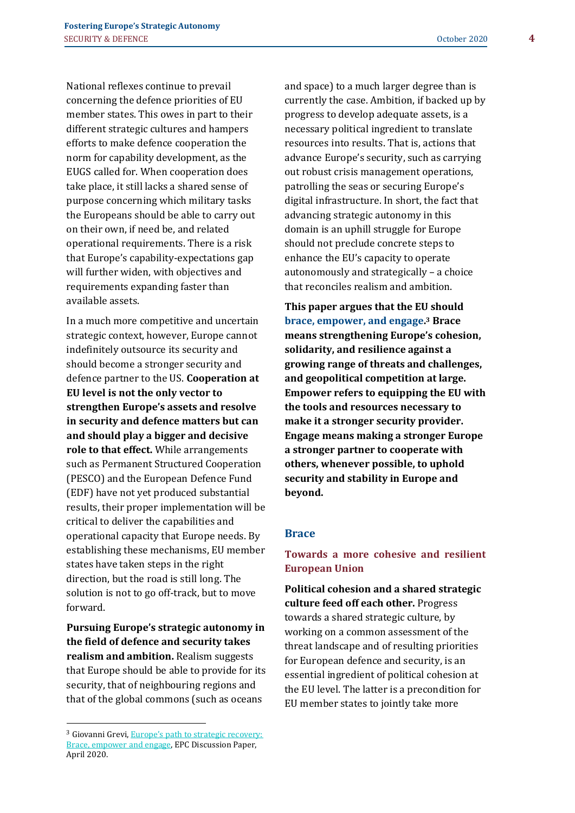National reflexes continue to prevail concerning the defence priorities of EU member states. This owes in part to their different strategic cultures and hampers efforts to make defence cooperation the norm for capability development, as the EUGS called for. When cooperation does take place, it still lacks a shared sense of purpose concerning which military tasks the Europeans should be able to carry out on their own, if need be, and related operational requirements. There is a risk that Europe's capability-expectations gap will further widen, with objectives and requirements expanding faster than available assets.

In a much more competitive and uncertain strategic context, however, Europe cannot indefinitely outsource its security and should become a stronger security and defence partner to the US. **Cooperation at EU level is not the only vector to strengthen Europe's assets and resolve in security and defence matters but can and should play a bigger and decisive role to that effect.** While arrangements such as Permanent Structured Cooperation (PESCO) and the European Defence Fund (EDF) have not yet produced substantial results, their proper implementation will be critical to deliver the capabilities and operational capacity that Europe needs. By establishing these mechanisms, EU member states have taken steps in the right direction, but the road is still long. The solution is not to go off-track, but to move forward.

**Pursuing Europe's strategic autonomy in the field of defence and security takes realism and ambition.** Realism suggests that Europe should be able to provide for its security, that of neighbouring regions and that of the global commons (such as oceans

and space) to a much larger degree than is currently the case. Ambition, if backed up by progress to develop adequate assets, is a necessary political ingredient to translate resources into results. That is, actions that advance Europe's security, such as carrying out robust crisis management operations, patrolling the seas or securing Europe's digital infrastructure. In short, the fact that advancing strategic autonomy in this domain is an uphill struggle for Europe should not preclude concrete steps to enhance the EU's capacity to operate autonomously and strategically – a choice that reconciles realism and ambition.

**This paper argues that the EU should brace, empower, and engage. <sup>3</sup> Brace means strengthening Europe's cohesion, solidarity, and resilience against a growing range of threats and challenges, and geopolitical competition at large. Empower refers to equipping the EU with the tools and resources necessary to make it a stronger security provider. Engage means making a stronger Europe a stronger partner to cooperate with others, whenever possible, to uphold security and stability in Europe and beyond.**

#### **Brace**

## **Towards a more cohesive and resilient European Union**

**Political cohesion and a shared strategic culture feed off each other.** Progress towards a shared strategic culture, by working on a common assessment of the threat landscape and of resulting priorities for European defence and security, is an essential ingredient of political cohesion at the EU level. The latter is a precondition for EU member states to jointly take more

<sup>3</sup> Giovanni Grevi, [Europe's path to strategic recovery:](https://wms.flexious.be/editor/plugins/imagemanager/content/2140/PDF/2020/Europe_path_to_strategic_recovery.pdf)  [Brace, empower and engage,](https://wms.flexious.be/editor/plugins/imagemanager/content/2140/PDF/2020/Europe_path_to_strategic_recovery.pdf) EPC Discussion Paper, April 2020.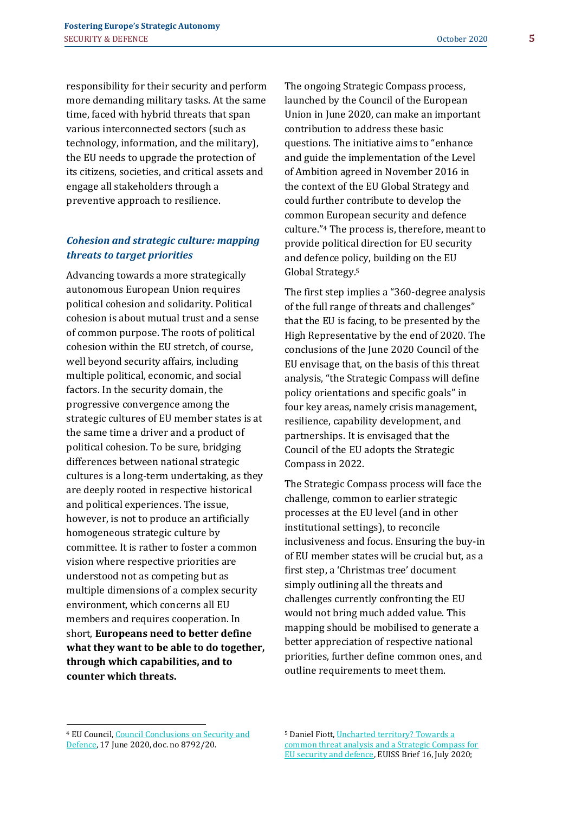responsibility for their security and perform more demanding military tasks. At the same time, faced with hybrid threats that span various interconnected sectors (such as technology, information, and the military), the EU needs to upgrade the protection of its citizens, societies, and critical assets and engage all stakeholders through a preventive approach to resilience.

## *Cohesion and strategic culture: mapping threats to target priorities*

Advancing towards a more strategically autonomous European Union requires political cohesion and solidarity. Political cohesion is about mutual trust and a sense of common purpose. The roots of political cohesion within the EU stretch, of course, well beyond security affairs, including multiple political, economic, and social factors. In the security domain, the progressive convergence among the strategic cultures of EU member states is at the same time a driver and a product of political cohesion. To be sure, bridging differences between national strategic cultures is a long-term undertaking, as they are deeply rooted in respective historical and political experiences. The issue, however, is not to produce an artificially homogeneous strategic culture by committee. It is rather to foster a common vision where respective priorities are understood not as competing but as multiple dimensions of a complex security environment, which concerns all EU members and requires cooperation. In short, **Europeans need to better define what they want to be able to do together, through which capabilities, and to counter which threats.** 

The ongoing Strategic Compass process, launched by the Council of the European Union in June 2020, can make an important contribution to address these basic questions. The initiative aims to "enhance and guide the implementation of the Level of Ambition agreed in November 2016 in the context of the EU Global Strategy and could further contribute to develop the common European security and defence culture." <sup>4</sup> The process is, therefore, meant to provide political direction for EU security and defence policy, building on the EU Global Strategy. 5

The first step implies a "360-degree analysis of the full range of threats and challenges" that the EU is facing, to be presented by the High Representative by the end of 2020. The conclusions of the June 2020 Council of the EU envisage that, on the basis of this threat analysis, "the Strategic Compass will define policy orientations and specific goals" in four key areas, namely crisis management, resilience, capability development, and partnerships. It is envisaged that the Council of the EU adopts the Strategic Compass in 2022.

The Strategic Compass process will face the challenge, common to earlier strategic processes at the EU level (and in other institutional settings), to reconcile inclusiveness and focus. Ensuring the buy-in of EU member states will be crucial but, as a first step, a 'Christmas tree' document simply outlining all the threats and challenges currently confronting the EU would not bring much added value. This mapping should be mobilised to generate a better appreciation of respective national priorities, further define common ones, and outline requirements to meet them.

<sup>5</sup> Daniel Fiott[, Uncharted territory? Towards a](https://www.iss.europa.eu/content/uncharted-territory-towards-common-threat-analysis-and-strategic-compass-eu-security-and)  [common threat analysis and a Strategic Compass for](https://www.iss.europa.eu/content/uncharted-territory-towards-common-threat-analysis-and-strategic-compass-eu-security-and)  [EU security and defence,](https://www.iss.europa.eu/content/uncharted-territory-towards-common-threat-analysis-and-strategic-compass-eu-security-and) EUISS Brief 16, July 2020;

<sup>4</sup> EU Council, [Council Conclusions on Security and](https://www.consilium.europa.eu/media/44521/st08910-en20.pdf)  [Defence,](https://www.consilium.europa.eu/media/44521/st08910-en20.pdf) 17 June 2020, doc. no 8792/20.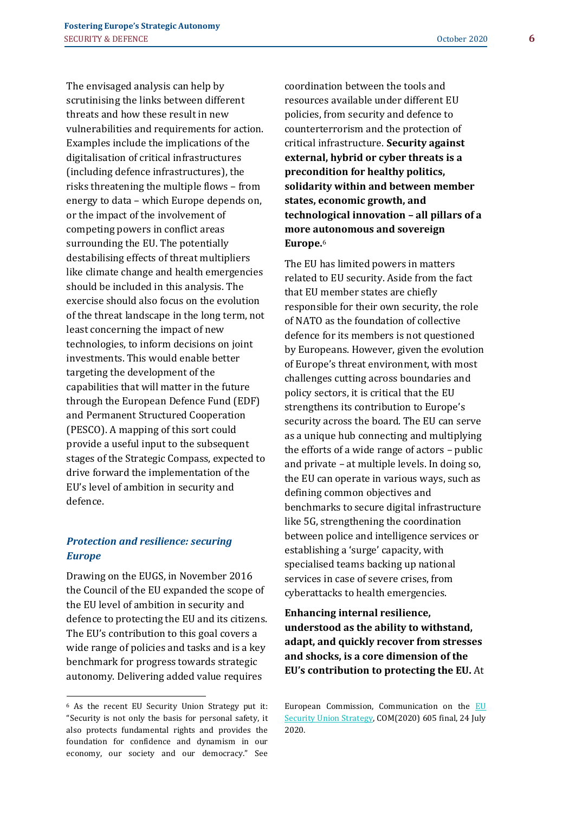The envisaged analysis can help by scrutinising the links between different threats and how these result in new vulnerabilities and requirements for action. Examples include the implications of the digitalisation of critical infrastructures (including defence infrastructures), the risks threatening the multiple flows – from energy to data – which Europe depends on, or the impact of the involvement of competing powers in conflict areas surrounding the EU. The potentially destabilising effects of threat multipliers like climate change and health emergencies should be included in this analysis. The exercise should also focus on the evolution of the threat landscape in the long term, not least concerning the impact of new technologies, to inform decisions on joint investments. This would enable better targeting the development of the capabilities that will matter in the future through the European Defence Fund (EDF) and Permanent Structured Cooperation (PESCO). A mapping of this sort could provide a useful input to the subsequent stages of the Strategic Compass, expected to drive forward the implementation of the EU's level of ambition in security and defence.

## *Protection and resilience: securing Europe*

Drawing on the EUGS, in November 2016 the Council of the EU expanded the scope of the EU level of ambition in security and defence to protecting the EU and its citizens. The EU's contribution to this goal covers a wide range of policies and tasks and is a key benchmark for progress towards strategic autonomy. Delivering added value requires

<sup>6</sup> As the recent EU Security Union Strategy put it: "Security is not only the basis for personal safety, it also protects fundamental rights and provides the foundation for confidence and dynamism in our economy, our society and our democracy." See

coordination between the tools and resources available under different EU policies, from security and defence to counterterrorism and the protection of critical infrastructure. **Security against external, hybrid or cyber threats is a precondition for healthy politics, solidarity within and between member states, economic growth, and technological innovation – all pillars of a more autonomous and sovereign Europe.**<sup>6</sup>

The EU has limited powers in matters related to EU security. Aside from the fact that EU member states are chiefly responsible for their own security, the role of NATO as the foundation of collective defence for its members is not questioned by Europeans. However, given the evolution of Europe's threat environment, with most challenges cutting across boundaries and policy sectors, it is critical that the EU strengthens its contribution to Europe's security across the board. The EU can serve as a unique hub connecting and multiplying the efforts of a wide range of actors – public and private – at multiple levels. In doing so, the EU can operate in various ways, such as defining common objectives and benchmarks to secure digital infrastructure like 5G, strengthening the coordination between police and intelligence services or establishing a 'surge' capacity, with specialised teams backing up national services in case of severe crises, from cyberattacks to health emergencies.

**Enhancing internal resilience, understood as the ability to withstand, adapt, and quickly recover from stresses and shocks, is a core dimension of the EU's contribution to protecting the EU.** At

European Commission, Communication on the [EU](https://eur-lex.europa.eu/legal-content/EN/TXT/PDF/?uri=CELEX:52020DC0605&from=EN)  [Security Union Strategy,](https://eur-lex.europa.eu/legal-content/EN/TXT/PDF/?uri=CELEX:52020DC0605&from=EN) COM(2020) 605 final, 24 July 2020.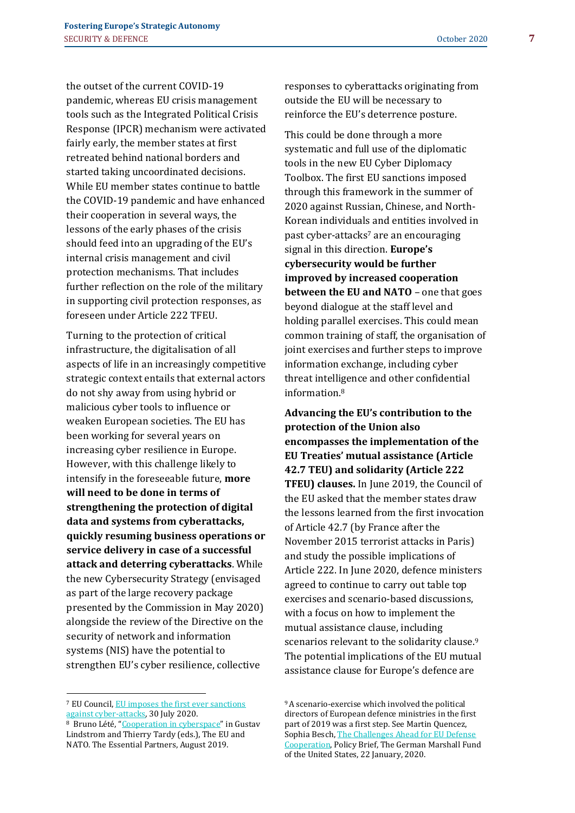the outset of the current COVID-19 pandemic, whereas EU crisis management tools such as the Integrated Political Crisis Response (IPCR) mechanism were activated fairly early, the member states at first retreated behind national borders and started taking uncoordinated decisions. While EU member states continue to battle the COVID-19 pandemic and have enhanced their cooperation in several ways, the lessons of the early phases of the crisis should feed into an upgrading of the EU's internal crisis management and civil protection mechanisms. That includes further reflection on the role of the military in supporting civil protection responses, as foreseen under Article 222 TFEU.

Turning to the protection of critical infrastructure, the digitalisation of all aspects of life in an increasingly competitive strategic context entails that external actors do not shy away from using hybrid or malicious cyber tools to influence or weaken European societies. The EU has been working for several years on increasing cyber resilience in Europe. However, with this challenge likely to intensify in the foreseeable future, **more will need to be done in terms of strengthening the protection of digital data and systems from cyberattacks, quickly resuming business operations or service delivery in case of a successful attack and deterring cyberattacks**. While the new Cybersecurity Strategy (envisaged as part of the large recovery package presented by the Commission in May 2020) alongside the review of the Directive on the security of network and information systems (NIS) have the potential to strengthen EU's cyber resilience, collective

responses to cyberattacks originating from outside the EU will be necessary to reinforce the EU's deterrence posture.

This could be done through a more systematic and full use of the diplomatic tools in the new EU Cyber Diplomacy Toolbox. The first EU sanctions imposed through this framework in the summer of 2020 against Russian, Chinese, and North-Korean individuals and entities involved in past cyber-attacks<sup>7</sup> are an encouraging signal in this direction. **Europe's cybersecurity would be further improved by increased cooperation between the EU and NATO** – one that goes beyond dialogue at the staff level and holding parallel exercises. This could mean common training of staff, the organisation of joint exercises and further steps to improve information exchange, including cyber threat intelligence and other confidential information.<sup>8</sup>

**Advancing the EU's contribution to the protection of the Union also encompasses the implementation of the EU Treaties' mutual assistance (Article 42.7 TEU) and solidarity (Article 222 TFEU) clauses.** In June 2019, the Council of the EU asked that the member states draw the lessons learned from the first invocation of Article 42.7 (by France after the November 2015 terrorist attacks in Paris) and study the possible implications of Article 222. In June 2020, defence ministers agreed to continue to carry out table top exercises and scenario-based discussions, with a focus on how to implement the mutual assistance clause, including scenarios relevant to the solidarity clause.<sup>9</sup> The potential implications of the EU mutual assistance clause for Europe's defence are

<sup>7</sup> EU Council, [EU imposes the first ever sanctions](https://www.consilium.europa.eu/en/press/press-releases/2020/07/30/eu-imposes-the-first-ever-sanctions-against-cyber-attacks/)  [against cyber-attacks,](https://www.consilium.europa.eu/en/press/press-releases/2020/07/30/eu-imposes-the-first-ever-sanctions-against-cyber-attacks/) 30 July 2020.

<sup>8</sup> Bruno Lété, "[Cooperation in cyberspace](https://www.iss.europa.eu/content/eu-and-nato)" in Gustav Lindstrom and Thierry Tardy (eds.), The EU and NATO. The Essential Partners, August 2019.

<sup>9</sup>A scenario-exercise which involved the political directors of European defence ministries in the first part of 2019 was a first step. See Martin Quencez, Sophia Besch[, The Challenges Ahead for EU Defense](https://www.gmfus.org/publications/challenges-ahead-eu-defense-cooperation)  [Cooperation,](https://www.gmfus.org/publications/challenges-ahead-eu-defense-cooperation) Policy Brief, The German Marshall Fund of the United States, 22 January, 2020.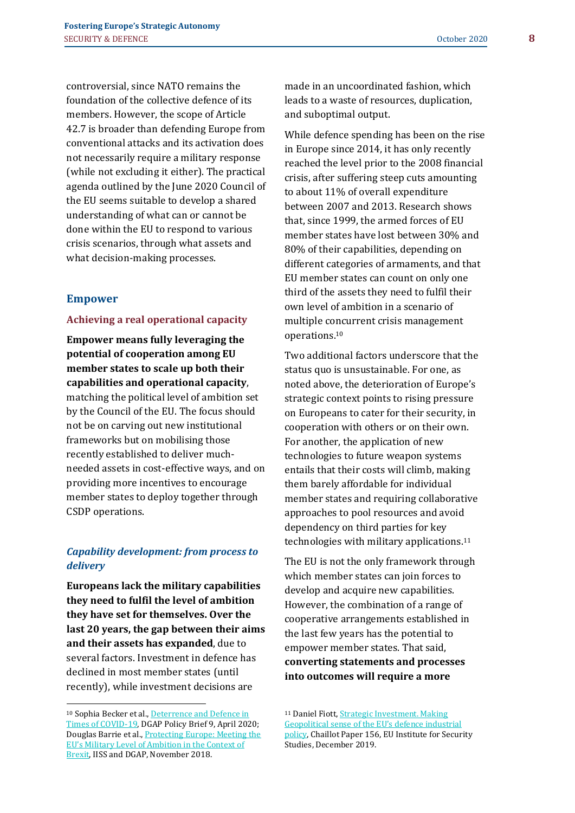controversial, since NATO remains the foundation of the collective defence of its members. However, the scope of Article 42.7 is broader than defending Europe from conventional attacks and its activation does not necessarily require a military response (while not excluding it either). The practical agenda outlined by the June 2020 Council of the EU seems suitable to develop a shared understanding of what can or cannot be done within the EU to respond to various crisis scenarios, through what assets and what decision-making processes.

### **Empower**

#### **Achieving a real operational capacity**

**Empower means fully leveraging the potential of cooperation among EU member states to scale up both their capabilities and operational capacity**, matching the political level of ambition set by the Council of the EU. The focus should not be on carving out new institutional frameworks but on mobilising those recently established to deliver muchneeded assets in cost-effective ways, and on providing more incentives to encourage member states to deploy together through CSDP operations.

## *Capability development: from process to delivery*

**Europeans lack the military capabilities they need to fulfil the level of ambition they have set for themselves. Over the last 20 years, the gap between their aims and their assets has expanded**, due to several factors. Investment in defence has declined in most member states (until recently), while investment decisions are

made in an uncoordinated fashion, which leads to a waste of resources, duplication, and suboptimal output.

While defence spending has been on the rise in Europe since 2014, it has only recently reached the level prior to the 2008 financial crisis, after suffering steep cuts amounting to about 11% of overall expenditure between 2007 and 2013. Research shows that, since 1999, the armed forces of EU member states have lost between 30% and 80% of their capabilities, depending on different categories of armaments, and that EU member states can count on only one third of the assets they need to fulfil their own level of ambition in a scenario of multiple concurrent crisis management operations.<sup>10</sup>

Two additional factors underscore that the status quo is unsustainable. For one, as noted above, the deterioration of Europe's strategic context points to rising pressure on Europeans to cater for their security, in cooperation with others or on their own. For another, the application of new technologies to future weapon systems entails that their costs will climb, making them barely affordable for individual member states and requiring collaborative approaches to pool resources and avoid dependency on third parties for key technologies with military applications.<sup>11</sup>

The EU is not the only framework through which member states can join forces to develop and acquire new capabilities. However, the combination of a range of cooperative arrangements established in the last few years has the potential to empower member states. That said, **converting statements and processes into outcomes will require a more** 

<sup>11</sup> Daniel Fiott, Strategic Investment. Making [Geopolitical sense of the EU's defence industrial](https://www.iss.europa.eu/content/strategic-investment-making-geopolitical-sense-eus-defence-industrial-policy)  [policy,](https://www.iss.europa.eu/content/strategic-investment-making-geopolitical-sense-eus-defence-industrial-policy) Chaillot Paper 156, EU Institute for Security Studies, December 2019.

<sup>10</sup> Sophia Becker et al.[, Deterrence and Defence in](https://dgap.org/en/research/publications/deterrence-and-defense-times-covid-19)  [Times of COVID-19,](https://dgap.org/en/research/publications/deterrence-and-defense-times-covid-19) DGAP Policy Brief 9, April 2020; Douglas Barrie et al.[, Protecting Europe: Meeting the](https://dgap.org/en/research/publications/protecting-europe)  [EU's Military Level of Ambition in the Context of](https://dgap.org/en/research/publications/protecting-europe)  [Brexit,](https://dgap.org/en/research/publications/protecting-europe) IISS and DGAP, November 2018.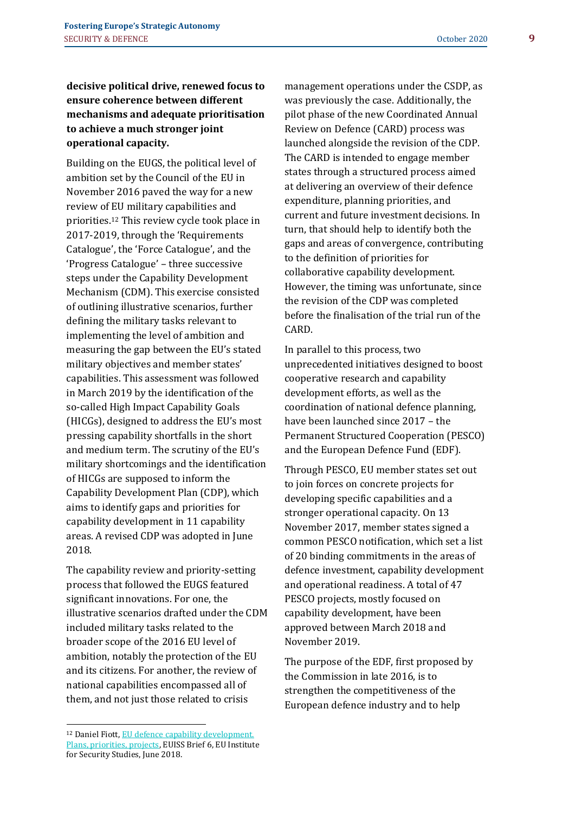## **decisive political drive, renewed focus to ensure coherence between different mechanisms and adequate prioritisation to achieve a much stronger joint operational capacity.**

Building on the EUGS, the political level of ambition set by the Council of the EU in November 2016 paved the way for a new review of EU military capabilities and priorities.<sup>12</sup> This review cycle took place in 2017-2019, through the 'Requirements Catalogue', the 'Force Catalogue', and the 'Progress Catalogue' – three successive steps under the Capability Development Mechanism (CDM). This exercise consisted of outlining illustrative scenarios, further defining the military tasks relevant to implementing the level of ambition and measuring the gap between the EU's stated military objectives and member states' capabilities. This assessment was followed in March 2019 by the identification of the so-called High Impact Capability Goals (HICGs), designed to address the EU's most pressing capability shortfalls in the short and medium term. The scrutiny of the EU's military shortcomings and the identification of HICGs are supposed to inform the Capability Development Plan (CDP), which aims to identify gaps and priorities for capability development in 11 capability areas. A revised CDP was adopted in June 2018.

The capability review and priority-setting process that followed the EUGS featured significant innovations. For one, the illustrative scenarios drafted under the CDM included military tasks related to the broader scope of the 2016 EU level of ambition, notably the protection of the EU and its citizens. For another, the review of national capabilities encompassed all of them, and not just those related to crisis

management operations under the CSDP, as was previously the case. Additionally, the pilot phase of the new Coordinated Annual Review on Defence (CARD) process was launched alongside the revision of the CDP. The CARD is intended to engage member states through a structured process aimed at delivering an overview of their defence expenditure, planning priorities, and current and future investment decisions. In turn, that should help to identify both the gaps and areas of convergence, contributing to the definition of priorities for collaborative capability development. However, the timing was unfortunate, since the revision of the CDP was completed before the finalisation of the trial run of the CARD.

In parallel to this process, two unprecedented initiatives designed to boost cooperative research and capability development efforts, as well as the coordination of national defence planning, have been launched since 2017 – the Permanent Structured Cooperation (PESCO) and the European Defence Fund (EDF).

Through PESCO, EU member states set out to join forces on concrete projects for developing specific capabilities and a stronger operational capacity. On 13 November 2017, member states signed a common PESCO notification, which set a list of 20 binding commitments in the areas of defence investment, capability development and operational readiness. A total of 47 PESCO projects, mostly focused on capability development, have been approved between March 2018 and November 2019.

The purpose of the EDF, first proposed by the Commission in late 2016, is to strengthen the competitiveness of the European defence industry and to help

<sup>12</sup> Daniel Fiott[, EU defence capability development.](https://www.iss.europa.eu/content/eu-defence-capability-development-%E2%80%93-plans-priorities-projects)  [Plans, priorities, projects,](https://www.iss.europa.eu/content/eu-defence-capability-development-%E2%80%93-plans-priorities-projects) EUISS Brief 6, EU Institute for Security Studies, June 2018.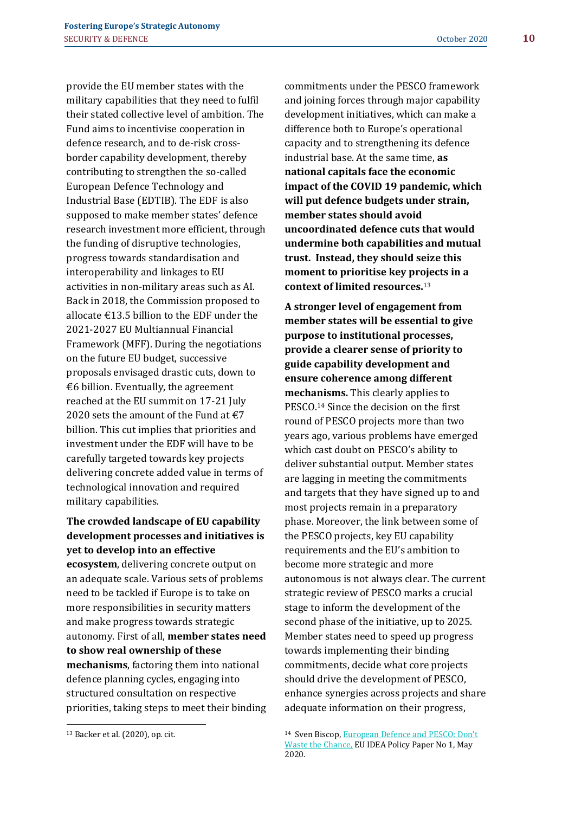provide the EU member states with the military capabilities that they need to fulfil their stated collective level of ambition. The Fund aims to incentivise cooperation in defence research, and to de-risk crossborder capability development, thereby contributing to strengthen the so-called European Defence Technology and Industrial Base (EDTIB). The EDF is also supposed to make member states' defence research investment more efficient, through the funding of disruptive technologies, progress towards standardisation and interoperability and linkages to EU activities in non-military areas such as AI. Back in 2018, the Commission proposed to allocate  $\epsilon$ 13.5 billion to the EDF under the 2021-2027 EU Multiannual Financial Framework (MFF). During the negotiations on the future EU budget, successive proposals envisaged drastic cuts, down to €6 billion. Eventually, the agreement reached at the EU summit on 17-21 July 2020 sets the amount of the Fund at  $\epsilon$ 7 billion. This cut implies that priorities and investment under the EDF will have to be carefully targeted towards key projects delivering concrete added value in terms of technological innovation and required

**The crowded landscape of EU capability development processes and initiatives is yet to develop into an effective ecosystem**, delivering concrete output on an adequate scale. Various sets of problems need to be tackled if Europe is to take on more responsibilities in security matters and make progress towards strategic autonomy. First of all, **member states need to show real ownership of these mechanisms**, factoring them into national defence planning cycles, engaging into structured consultation on respective priorities, taking steps to meet their binding

**uncoordinated defence cuts that would undermine both capabilities and mutual trust. Instead, they should seize this moment to prioritise key projects in a context of limited resources.**<sup>13</sup>

**A stronger level of engagement from member states will be essential to give purpose to institutional processes, provide a clearer sense of priority to guide capability development and ensure coherence among different mechanisms.** This clearly applies to PESCO.<sup>14</sup> Since the decision on the first round of PESCO projects more than two years ago, various problems have emerged which cast doubt on PESCO's ability to deliver substantial output. Member states are lagging in meeting the commitments and targets that they have signed up to and most projects remain in a preparatory phase. Moreover, the link between some of the PESCO projects, key EU capability requirements and the EU's ambition to become more strategic and more autonomous is not always clear. The current strategic review of PESCO marks a crucial stage to inform the development of the second phase of the initiative, up to 2025. Member states need to speed up progress towards implementing their binding commitments, decide what core projects should drive the development of PESCO, enhance synergies across projects and share adequate information on their progress,

military capabilities.

commitments under the PESCO framework and joining forces through major capability development initiatives, which can make a difference both to Europe's operational capacity and to strengthening its defence industrial base. At the same time, **as national capitals face the economic impact of the COVID 19 pandemic, which will put defence budgets under strain, member states should avoid** 

<sup>13</sup> Backer et al. (2020), op. cit.

<sup>14</sup> Sven Biscop, [European Defence and PESCO: Don't](http://www.egmontinstitute.be/content/uploads/2020/05/euidea_policy-paper1-SvenBiscop-mei2020.pdf)  [Waste the Chance,](http://www.egmontinstitute.be/content/uploads/2020/05/euidea_policy-paper1-SvenBiscop-mei2020.pdf) EU IDEA Policy Paper No 1, May 2020.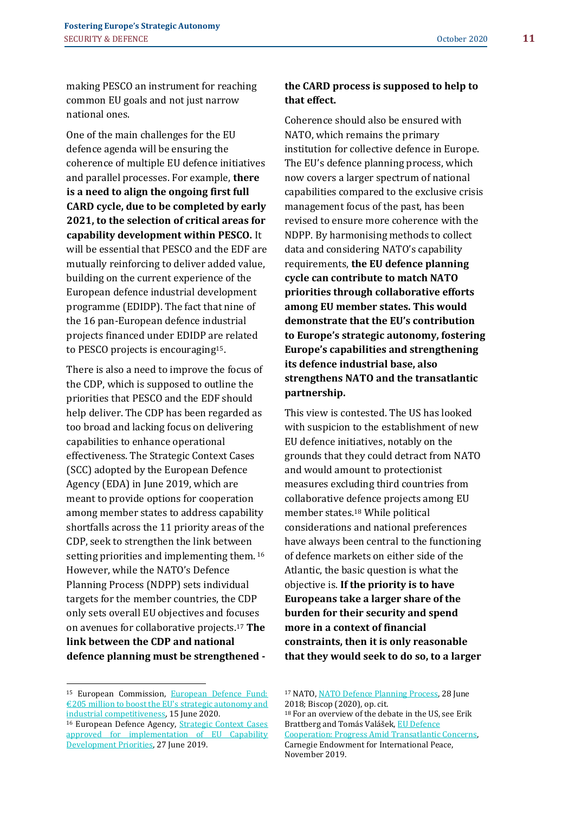making PESCO an instrument for reaching common EU goals and not just narrow national ones.

One of the main challenges for the EU defence agenda will be ensuring the coherence of multiple EU defence initiatives and parallel processes. For example, **there is a need to align the ongoing first full CARD cycle, due to be completed by early 2021, to the selection of critical areas for capability development within PESCO.** It will be essential that PESCO and the EDF are mutually reinforcing to deliver added value, building on the current experience of the European defence industrial development programme (EDIDP). The fact that nine of the 16 pan-European defence industrial projects financed under EDIDP are related to PESCO projects is encouraging15.

There is also a need to improve the focus of the CDP, which is supposed to outline the priorities that PESCO and the EDF should help deliver. The CDP has been regarded as too broad and lacking focus on delivering capabilities to enhance operational effectiveness. The Strategic Context Cases (SCC) adopted by the European Defence Agency (EDA) in June 2019, which are meant to provide options for cooperation among member states to address capability shortfalls across the 11 priority areas of the CDP, seek to strengthen the link between setting priorities and implementing them.<sup>16</sup> However, while the NATO's Defence Planning Process (NDPP) sets individual targets for the member countries, the CDP only sets overall EU objectives and focuses on avenues for collaborative projects.<sup>17</sup> **The link between the CDP and national defence planning must be strengthened -**

## **the CARD process is supposed to help to that effect.**

Coherence should also be ensured with NATO, which remains the primary institution for collective defence in Europe. The EU's defence planning process, which now covers a larger spectrum of national capabilities compared to the exclusive crisis management focus of the past, has been revised to ensure more coherence with the NDPP. By harmonising methods to collect data and considering NATO's capability requirements, **the EU defence planning cycle can contribute to match NATO priorities through collaborative efforts among EU member states. This would demonstrate that the EU's contribution to Europe's strategic autonomy, fostering Europe's capabilities and strengthening its defence industrial base, also strengthens NATO and the transatlantic partnership.** 

This view is contested. The US has looked with suspicion to the establishment of new EU defence initiatives, notably on the grounds that they could detract from NATO and would amount to protectionist measures excluding third countries from collaborative defence projects among EU member states.<sup>18</sup> While political considerations and national preferences have always been central to the functioning of defence markets on either side of the Atlantic, the basic question is what the objective is. **If the priority is to have Europeans take a larger share of the burden for their security and spend more in a context of financial constraints, then it is only reasonable that they would seek to do so, to a larger** 

<sup>18</sup> For an overview of the debate in the US, see Erik Brattberg and Tomás Valášek, [EU Defence](https://carnegieendowment.org/files/WP_Brattberg_Valasek_EU_Def_Coop_v3.pdf)  [Cooperation: Progress Amid Transatlantic Concerns,](https://carnegieendowment.org/files/WP_Brattberg_Valasek_EU_Def_Coop_v3.pdf) Carnegie Endowment for International Peace, November 2019.

<sup>15</sup> European Commission, [European Defence Fund:](https://ec.europa.eu/commission/presscorner/detail/en/ip_20_1053)  [€205 million to boost the EU's strategic autonomy and](https://ec.europa.eu/commission/presscorner/detail/en/ip_20_1053)  [industrial competitiveness,](https://ec.europa.eu/commission/presscorner/detail/en/ip_20_1053) 15 June 2020.

<sup>16</sup> European Defence Agency, [Strategic Context Cases](https://www.eda.europa.eu/info-hub/press-centre/latest-news/2019/06/27/strategic-context-cases-approved-for-implementation-of-eu-capability-development-priorities)  [approved for implementation of EU Capability](https://www.eda.europa.eu/info-hub/press-centre/latest-news/2019/06/27/strategic-context-cases-approved-for-implementation-of-eu-capability-development-priorities)  [Development Priorities,](https://www.eda.europa.eu/info-hub/press-centre/latest-news/2019/06/27/strategic-context-cases-approved-for-implementation-of-eu-capability-development-priorities) 27 June 2019.

<sup>17</sup> NATO[, NATO Defence Planning Process,](https://www.nato.int/cps/en/natohq/topics_49202.htm) 28 June 2018; Biscop (2020), op. cit.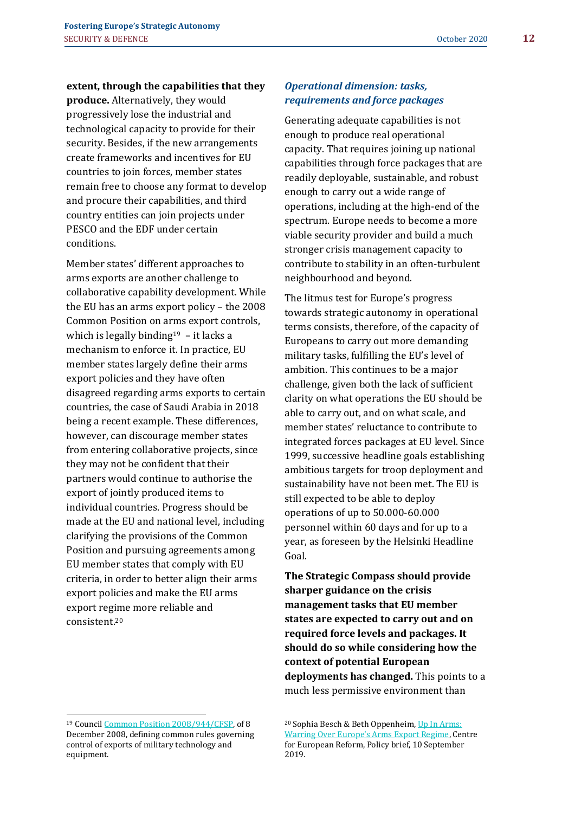**extent, through the capabilities that they produce.** Alternatively, they would progressively lose the industrial and technological capacity to provide for their security. Besides, if the new arrangements create frameworks and incentives for EU countries to join forces, member states remain free to choose any format to develop and procure their capabilities, and third country entities can join projects under PESCO and the EDF under certain conditions.

Member states' different approaches to arms exports are another challenge to collaborative capability development. While the EU has an arms export policy – the 2008 Common Position on arms export controls, which is legally binding<sup>19</sup> – it lacks a mechanism to enforce it. In practice, EU member states largely define their arms export policies and they have often disagreed regarding arms exports to certain countries, the case of Saudi Arabia in 2018 being a recent example. These differences, however, can discourage member states from entering collaborative projects, since they may not be confident that their partners would continue to authorise the export of jointly produced items to individual countries. Progress should be made at the EU and national level, including clarifying the provisions of the Common Position and pursuing agreements among EU member states that comply with EU criteria, in order to better align their arms export policies and make the EU arms export regime more reliable and consistent. 20

## *Operational dimension: tasks, requirements and force packages*

Generating adequate capabilities is not enough to produce real operational capacity. That requires joining up national capabilities through force packages that are readily deployable, sustainable, and robust enough to carry out a wide range of operations, including at the high-end of the spectrum. Europe needs to become a more viable security provider and build a much stronger crisis management capacity to contribute to stability in an often-turbulent neighbourhood and beyond.

The litmus test for Europe's progress towards strategic autonomy in operational terms consists, therefore, of the capacity of Europeans to carry out more demanding military tasks, fulfilling the EU's level of ambition. This continues to be a major challenge, given both the lack of sufficient clarity on what operations the EU should be able to carry out, and on what scale, and member states' reluctance to contribute to integrated forces packages at EU level. Since 1999, successive headline goals establishing ambitious targets for troop deployment and sustainability have not been met. The EU is still expected to be able to deploy operations of up to 50.000-60.000 personnel within 60 days and for up to a year, as foreseen by the Helsinki Headline Goal.

**The Strategic Compass should provide sharper guidance on the crisis management tasks that EU member states are expected to carry out and on required force levels and packages. It should do so while considering how the context of potential European deployments has changed.** This points to a much less permissive environment than

<sup>19</sup> Counci[l Common Position 2008/944/CFSP,](https://eur-lex.europa.eu/legal-content/EN/TXT/?uri=CELEX%3A32008E0944) of 8 December 2008, defining common rules governing control of exports of military technology and equipment.

<sup>20</sup> Sophia Besch & Beth Oppenheim[, Up In Arms:](https://www.cer.eu/publications/archive/policy-brief/2019/arms-warring-over-europes-arms-export-regime)  [Warring Over Europe's Arms Export Regime,](https://www.cer.eu/publications/archive/policy-brief/2019/arms-warring-over-europes-arms-export-regime) Centre for European Reform, Policy brief, 10 September 2019.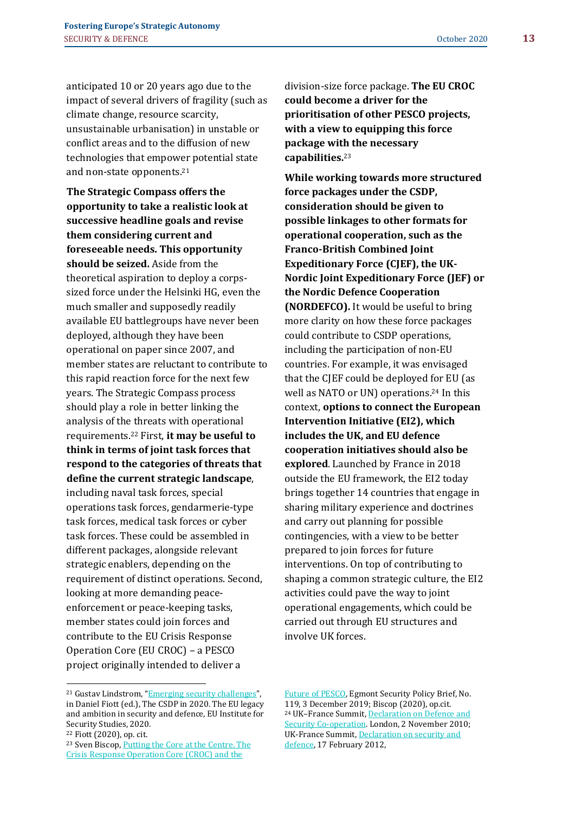anticipated 10 or 20 years ago due to the impact of several drivers of fragility (such as climate change, resource scarcity, unsustainable urbanisation) in unstable or conflict areas and to the diffusion of new technologies that empower potential state and non-state opponents.<sup>21</sup>

**The Strategic Compass offers the opportunity to take a realistic look at successive headline goals and revise them considering current and foreseeable needs. This opportunity should be seized.** Aside from the theoretical aspiration to deploy a corpssized force under the Helsinki HG, even the much smaller and supposedly readily available EU battlegroups have never been deployed, although they have been operational on paper since 2007, and member states are reluctant to contribute to this rapid reaction force for the next few years. The Strategic Compass process should play a role in better linking the analysis of the threats with operational requirements.<sup>22</sup> First, **it may be useful to think in terms of joint task forces that respond to the categories of threats that define the current strategic landscape**, including naval task forces, special operations task forces, gendarmerie-type task forces, medical task forces or cyber task forces. These could be assembled in different packages, alongside relevant strategic enablers, depending on the requirement of distinct operations. Second, looking at more demanding peaceenforcement or peace-keeping tasks, member states could join forces and contribute to the EU Crisis Response Operation Core (EU CROC) – a PESCO project originally intended to deliver a

division-size force package. **The EU CROC could become a driver for the prioritisation of other PESCO projects, with a view to equipping this force package with the necessary capabilities.**<sup>23</sup>

**While working towards more structured force packages under the CSDP, consideration should be given to possible linkages to other formats for operational cooperation, such as the Franco-British Combined Joint Expeditionary Force (CJEF), the UK-Nordic Joint Expeditionary Force (JEF) or the Nordic Defence Cooperation (NORDEFCO).** It would be useful to bring more clarity on how these force packages could contribute to CSDP operations, including the participation of non-EU countries. For example, it was envisaged that the CJEF could be deployed for EU (as well as NATO or UN) operations.<sup>24</sup> In this context, **options to connect the European Intervention Initiative (EI2), which includes the UK, and EU defence cooperation initiatives should also be explored**. Launched by France in 2018 outside the EU framework, the EI2 today brings together 14 countries that engage in sharing military experience and doctrines and carry out planning for possible contingencies, with a view to be better prepared to join forces for future interventions. On top of contributing to shaping a common strategic culture, the EI2 activities could pave the way to joint operational engagements, which could be carried out through EU structures and involve UK forces.

[Future of PESCO,](http://www.egmontinstitute.be/putting-the-core-at-the-centre-croc-and-pesco/) Egmont Security Policy Brief, No. 119, 3 December 2019; Biscop (2020), op.cit. <sup>24</sup> UK–France Summit[, Declaration on Defence and](https://www.gov.uk/government/news/uk-france-summit-2010-declaration-on-defence-and-security-co-operation)  [Security Co-operation.](https://www.gov.uk/government/news/uk-france-summit-2010-declaration-on-defence-and-security-co-operation) London, 2 November 2010: UK-France Summit[, Declaration on security and](https://www.gov.uk/government/news/uk-france-declaration-on-security-and-defence)  [defence,](https://www.gov.uk/government/news/uk-france-declaration-on-security-and-defence) 17 February 2012,

<sup>21</sup> Gustav Lindstrom, "[Emerging security challenges](https://www.iss.europa.eu/sites/default/files/EUISSFiles/CSDP%20in%202020_0.pdf)", in Daniel Fiott (ed.), The CSDP in 2020. The EU legacy and ambition in security and defence, EU Institute for Security Studies, 2020.

<sup>22</sup> Fiott (2020), op. cit.

<sup>23</sup> Sven Biscop[, Putting the Core at the Centre. The](http://www.egmontinstitute.be/putting-the-core-at-the-centre-croc-and-pesco/)  [Crisis Response Operation Core \(CROC\) and the](http://www.egmontinstitute.be/putting-the-core-at-the-centre-croc-and-pesco/)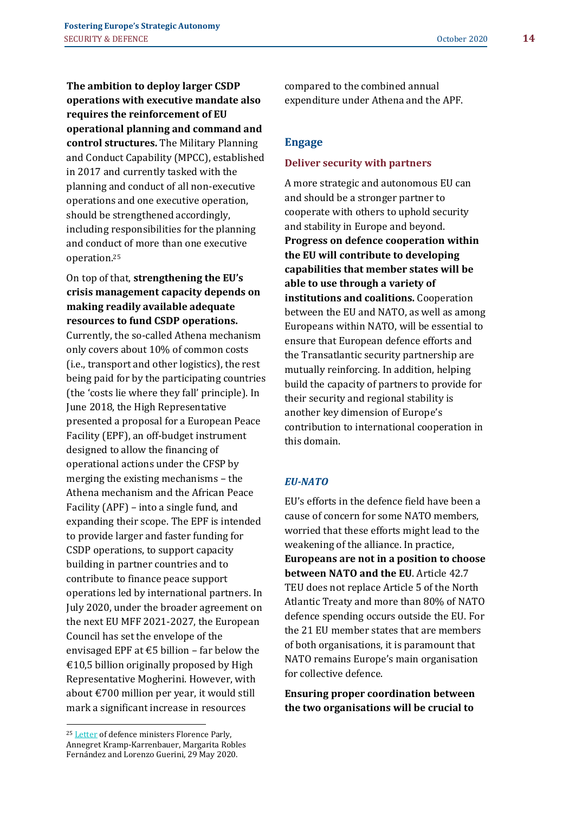**The ambition to deploy larger CSDP operations with executive mandate also requires the reinforcement of EU operational planning and command and control structures.** The Military Planning and Conduct Capability (MPCC), established in 2017 and currently tasked with the planning and conduct of all non-executive operations and one executive operation, should be strengthened accordingly, including responsibilities for the planning and conduct of more than one executive operation.<sup>25</sup>

On top of that, **strengthening the EU's crisis management capacity depends on making readily available adequate resources to fund CSDP operations.** Currently, the so-called Athena mechanism only covers about 10% of common costs (i.e., transport and other logistics), the rest being paid for by the participating countries (the 'costs lie where they fall' principle). In June 2018, the High Representative presented a proposal for a European Peace Facility (EPF), an off-budget instrument designed to allow the financing of operational actions under the CFSP by merging the existing mechanisms – the Athena mechanism and the African Peace Facility (APF) – into a single fund, and expanding their scope. The EPF is intended to provide larger and faster funding for CSDP operations, to support capacity building in partner countries and to contribute to finance peace support operations led by international partners. In July 2020, under the broader agreement on the next EU MFF 2021-2027, the European Council has set the envelope of the envisaged EPF at  $\text{\textsterling}5$  billion – far below the €10,5 billion originally proposed by High Representative Mogherini. However, with about €700 million per year, it would still mark a significant increase in resources

compared to the combined annual expenditure under Athena and the APF.

## **Engage**

#### **Deliver security with partners**

A more strategic and autonomous EU can and should be a stronger partner to cooperate with others to uphold security and stability in Europe and beyond. **Progress on defence cooperation within the EU will contribute to developing capabilities that member states will be able to use through a variety of institutions and coalitions.** Cooperation between the EU and NATO, as well as among Europeans within NATO, will be essential to ensure that European defence efforts and the Transatlantic security partnership are mutually reinforcing. In addition, helping build the capacity of partners to provide for their security and regional stability is another key dimension of Europe's contribution to international cooperation in this domain.

### *EU-NATO*

EU's efforts in the defence field have been a cause of concern for some NATO members, worried that these efforts might lead to the weakening of the alliance. In practice, **Europeans are not in a position to choose between NATO and the EU**. Article 42.7 TEU does not replace Article 5 of the North Atlantic Treaty and more than 80% of NATO defence spending occurs outside the EU. For the 21 EU member states that are members of both organisations, it is paramount that NATO remains Europe's main organisation for collective defence.

**Ensuring proper coordination between the two organisations will be crucial to** 

<sup>&</sup>lt;sup>25</sup> [Letter](https://www.gouvernement.fr/en/at-the-heart-of-our-european-union) of defence ministers Florence Parly, Annegret Kramp-Karrenbauer, Margarita Robles Fernández and Lorenzo Guerini, 29 May 2020.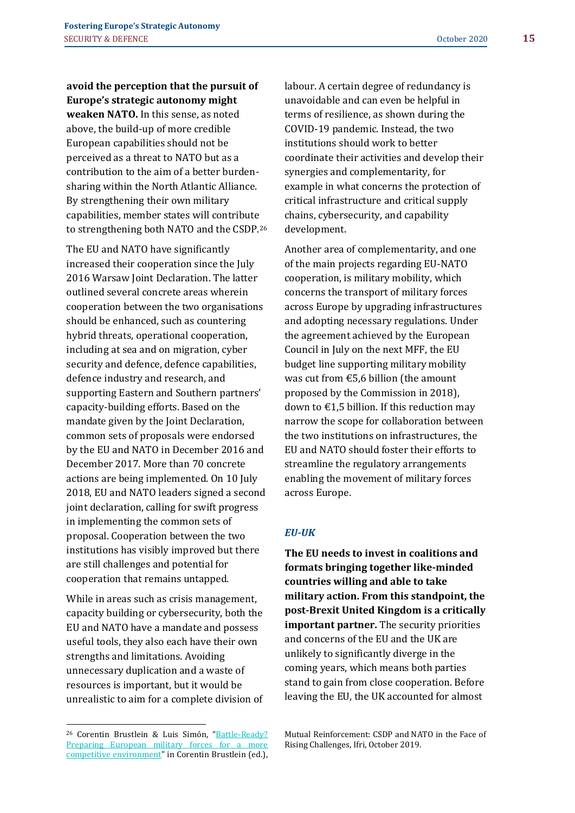**avoid the perception that the pursuit of Europe's strategic autonomy might weaken NATO.** In this sense, as noted

above, the build-up of more credible European capabilities should not be perceived as a threat to NATO but as a contribution to the aim of a better burdensharing within the North Atlantic Alliance. By strengthening their own military capabilities, member states will contribute to strengthening both NATO and the CSDP.<sup>26</sup>

The EU and NATO have significantly increased their cooperation since the July 2016 Warsaw Joint Declaration. The latter outlined several concrete areas wherein cooperation between the two organisations should be enhanced, such as countering hybrid threats, operational cooperation, including at sea and on migration, cyber security and defence, defence capabilities, defence industry and research, and supporting Eastern and Southern partners' capacity-building efforts. Based on the mandate given by the Joint Declaration, common sets of proposals were endorsed by the EU and NATO in December 2016 and December 2017. More than 70 concrete actions are being implemented. On 10 July 2018, EU and NATO leaders signed a second joint declaration, calling for swift progress in implementing the common sets of proposal. Cooperation between the two institutions has visibly improved but there are still challenges and potential for cooperation that remains untapped.

While in areas such as crisis management, capacity building or cybersecurity, both the EU and NATO have a mandate and possess useful tools, they also each have their own strengths and limitations. Avoiding unnecessary duplication and a waste of resources is important, but it would be unrealistic to aim for a complete division of labour. A certain degree of redundancy is unavoidable and can even be helpful in terms of resilience, as shown during the COVID-19 pandemic. Instead, the two institutions should work to better coordinate their activities and develop their synergies and complementarity, for example in what concerns the protection of critical infrastructure and critical supply chains, cybersecurity, and capability development.

Another area of complementarity, and one of the main projects regarding EU-NATO cooperation, is military mobility, which concerns the transport of military forces across Europe by upgrading infrastructures and adopting necessary regulations. Under the agreement achieved by the European Council in July on the next MFF, the EU budget line supporting military mobility was cut from €5,6 billion (the amount proposed by the Commission in 2018), down to  $\epsilon$ 1,5 billion. If this reduction may narrow the scope for collaboration between the two institutions on infrastructures, the EU and NATO should foster their efforts to streamline the regulatory arrangements enabling the movement of military forces across Europe.

### *EU-UK*

**The EU needs to invest in coalitions and formats bringing together like-minded countries willing and able to take military action. From this standpoint, the post-Brexit United Kingdom is a critically important partner.** The security priorities and concerns of the EU and the UK are unlikely to significantly diverge in the coming years, which means both parties stand to gain from close cooperation. Before leaving the EU, the UK accounted for almost

Mutual Reinforcement: CSDP and NATO in the Face of Rising Challenges, Ifri, October 2019.

<sup>26</sup> Corentin Brustlein & Luis Simón, "[Battle-Ready?](https://www.ifri.org/sites/default/files/atoms/files/brustlein_mutual_reinforcement_2019.pdf)  Preparing European military forces for a more [competitive environment](https://www.ifri.org/sites/default/files/atoms/files/brustlein_mutual_reinforcement_2019.pdf)" in Corentin Brustlein (ed.),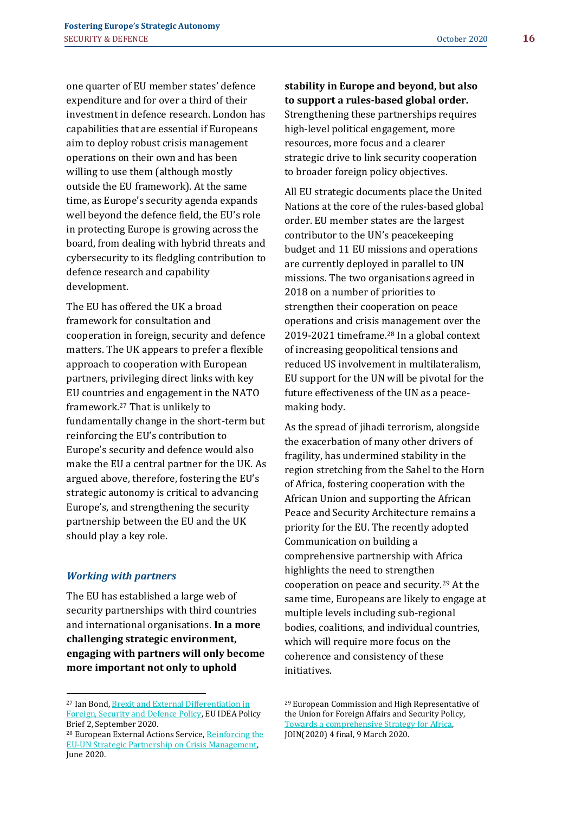one quarter of EU member states' defence expenditure and for over a third of their investment in defence research. London has capabilities that are essential if Europeans aim to deploy robust crisis management operations on their own and has been willing to use them (although mostly outside the EU framework). At the same time, as Europe's security agenda expands well beyond the defence field, the EU's role in protecting Europe is growing across the board, from dealing with hybrid threats and cybersecurity to its fledgling contribution to defence research and capability development.

The EU has offered the UK a broad framework for consultation and cooperation in foreign, security and defence matters. The UK appears to prefer a flexible approach to cooperation with European partners, privileging direct links with key EU countries and engagement in the NATO framework.<sup>27</sup> That is unlikely to fundamentally change in the short-term but reinforcing the EU's contribution to Europe's security and defence would also make the EU a central partner for the UK. As argued above, therefore, fostering the EU's strategic autonomy is critical to advancing Europe's, and strengthening the security partnership between the EU and the UK should play a key role.

### *Working with partners*

The EU has established a large web of security partnerships with third countries and international organisations. **In a more challenging strategic environment, engaging with partners will only become more important not only to uphold** 

Strengthening these partnerships requires high-level political engagement, more resources, more focus and a clearer strategic drive to link security cooperation to broader foreign policy objectives.

All EU strategic documents place the United Nations at the core of the rules-based global order. EU member states are the largest contributor to the UN's peacekeeping budget and 11 EU missions and operations are currently deployed in parallel to UN missions. The two organisations agreed in 2018 on a number of priorities to strengthen their cooperation on peace operations and crisis management over the 2019-2021 timeframe.<sup>28</sup> In a global context of increasing geopolitical tensions and reduced US involvement in multilateralism, EU support for the UN will be pivotal for the future effectiveness of the UN as a peacemaking body.

As the spread of jihadi terrorism, alongside the exacerbation of many other drivers of fragility, has undermined stability in the region stretching from the Sahel to the Horn of Africa, fostering cooperation with the African Union and supporting the African Peace and Security Architecture remains a priority for the EU. The recently adopted Communication on building a comprehensive partnership with Africa highlights the need to strengthen cooperation on peace and security.<sup>29</sup> At the same time, Europeans are likely to engage at multiple levels including sub-regional bodies, coalitions, and individual countries, which will require more focus on the coherence and consistency of these initiatives.

**stability in Europe and beyond, but also to support a rules-based global order.**

<sup>27</sup> Ian Bond[, Brexit and External Differentiation in](https://euidea.eu/wp-content/uploads/2020/09/euidea_pb_2.pdf)  [Foreign, Security and Defence Policy,](https://euidea.eu/wp-content/uploads/2020/09/euidea_pb_2.pdf) EU IDEA Policy Brief 2, September 2020.

<sup>28</sup> European External Actions Service[, Reinforcing the](https://eeas.europa.eu/sites/eeas/files/factsheet_eu_un_missions_june_2020_0.pdf)  [EU-UN Strategic Partnership on Crisis Management,](https://eeas.europa.eu/sites/eeas/files/factsheet_eu_un_missions_june_2020_0.pdf)  June 2020.

<sup>29</sup> European Commission and High Representative of the Union for Foreign Affairs and Security Policy, [Towards a comprehensive Strategy for Africa,](https://ec.europa.eu/international-partnerships/system/files/communication-eu-africa-strategy-join-2020-4-final_en.pdf) JOIN(2020) 4 final, 9 March 2020.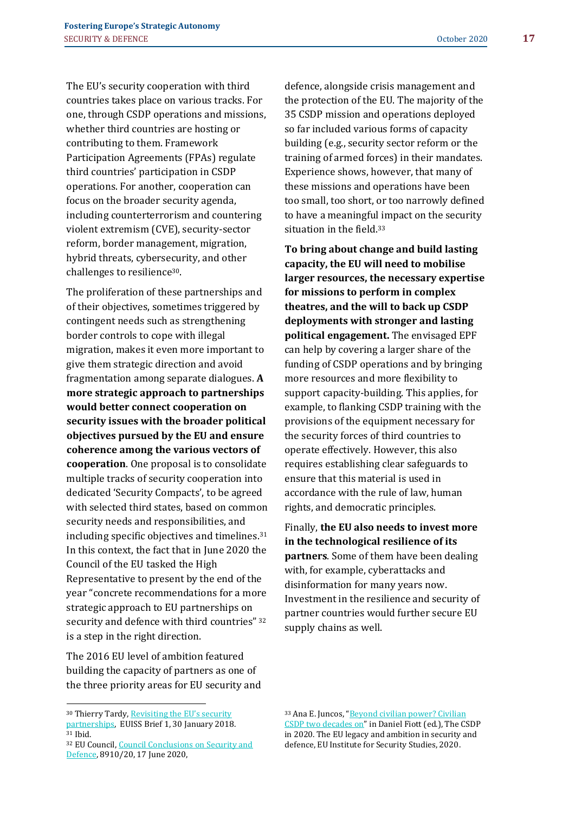The EU's security cooperation with third countries takes place on various tracks. For one, through CSDP operations and missions, whether third countries are hosting or contributing to them. Framework Participation Agreements (FPAs) regulate third countries' participation in CSDP operations. For another, cooperation can focus on the broader security agenda, including counterterrorism and countering violent extremism (CVE), security-sector reform, border management, migration, hybrid threats, cybersecurity, and other challenges to resilience30.

The proliferation of these partnerships and of their objectives, sometimes triggered by contingent needs such as strengthening border controls to cope with illegal migration, makes it even more important to give them strategic direction and avoid fragmentation among separate dialogues. **A more strategic approach to partnerships would better connect cooperation on security issues with the broader political objectives pursued by the EU and ensure coherence among the various vectors of cooperation**. One proposal is to consolidate multiple tracks of security cooperation into dedicated 'Security Compacts', to be agreed with selected third states, based on common security needs and responsibilities, and including specific objectives and timelines. 31 In this context, the fact that in June 2020 the Council of the EU tasked the High Representative to present by the end of the year "concrete recommendations for a more strategic approach to EU partnerships on security and defence with third countries" 32 is a step in the right direction.

The 2016 EU level of ambition featured building the capacity of partners as one of the three priority areas for EU security and

<sup>30</sup> Thierry Tardy, Revisiting the EU's security [partnerships,](https://www.iss.europa.eu/content/revisiting-eu%E2%80%99s-security-partnerships) EUISS Brief 1, 30 January 2018. <sup>31</sup> Ibid.

defence, alongside crisis management and the protection of the EU. The majority of the 35 CSDP mission and operations deployed so far included various forms of capacity building (e.g., security sector reform or the training of armed forces) in their mandates. Experience shows, however, that many of these missions and operations have been too small, too short, or too narrowly defined to have a meaningful impact on the security situation in the field.<sup>33</sup>

**To bring about change and build lasting capacity, the EU will need to mobilise larger resources, the necessary expertise for missions to perform in complex theatres, and the will to back up CSDP deployments with stronger and lasting political engagement.** The envisaged EPF can help by covering a larger share of the funding of CSDP operations and by bringing more resources and more flexibility to support capacity-building. This applies, for example, to flanking CSDP training with the provisions of the equipment necessary for the security forces of third countries to operate effectively. However, this also requires establishing clear safeguards to ensure that this material is used in accordance with the rule of law, human rights, and democratic principles.

Finally, **the EU also needs to invest more in the technological resilience of its partners**. Some of them have been dealing with, for example, cyberattacks and disinformation for many years now. Investment in the resilience and security of partner countries would further secure EU supply chains as well.

<sup>32</sup> EU Council[, Council Conclusions on Security and](https://www.consilium.europa.eu/media/44521/st08910-en20.p)  [Defence,](https://www.consilium.europa.eu/media/44521/st08910-en20.p) 8910/20, 17 June 2020,

<sup>33</sup> Ana E. Juncos, "[Beyond civilian power? Civilian](https://www.iss.europa.eu/content/csdp-2020)  [CSDP two decades on](https://www.iss.europa.eu/content/csdp-2020)" in Daniel Fiott (ed.), The CSDP in 2020. The EU legacy and ambition in security and defence, EU Institute for Security Studies, 2020.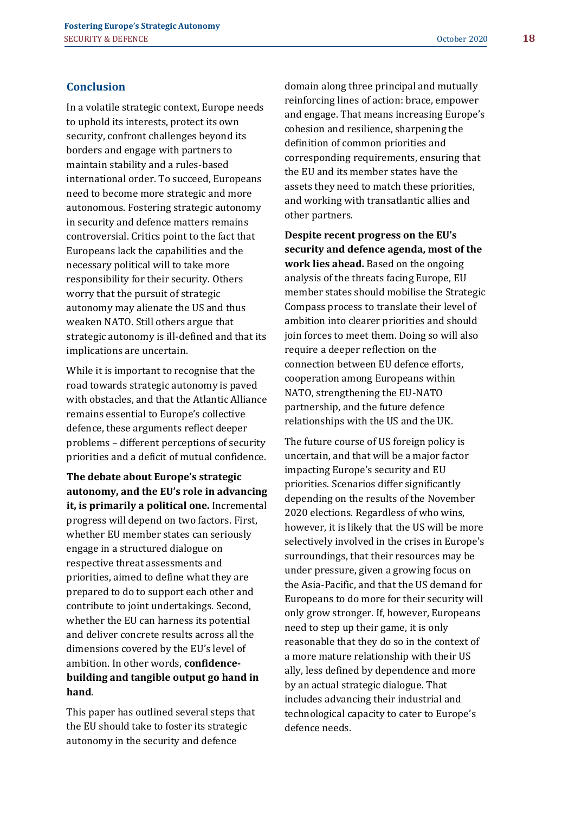## **Conclusion**

In a volatile strategic context, Europe needs to uphold its interests, protect its own security, confront challenges beyond its borders and engage with partners to maintain stability and a rules-based international order. To succeed, Europeans need to become more strategic and more autonomous. Fostering strategic autonomy in security and defence matters remains controversial. Critics point to the fact that Europeans lack the capabilities and the necessary political will to take more responsibility for their security. Others worry that the pursuit of strategic autonomy may alienate the US and thus weaken NATO. Still others argue that strategic autonomy is ill-defined and that its implications are uncertain.

While it is important to recognise that the road towards strategic autonomy is paved with obstacles, and that the Atlantic Alliance remains essential to Europe's collective defence, these arguments reflect deeper problems – different perceptions of security priorities and a deficit of mutual confidence.

**The debate about Europe's strategic autonomy, and the EU's role in advancing it, is primarily a political one.** Incremental progress will depend on two factors. First, whether EU member states can seriously engage in a structured dialogue on respective threat assessments and priorities, aimed to define what they are prepared to do to support each other and contribute to joint undertakings. Second, whether the EU can harness its potential and deliver concrete results across all the dimensions covered by the EU's level of ambition. In other words, **confidencebuilding and tangible output go hand in hand**.

This paper has outlined several steps that the EU should take to foster its strategic autonomy in the security and defence

domain along three principal and mutually reinforcing lines of action: brace, empower and engage. That means increasing Europe's cohesion and resilience, sharpening the definition of common priorities and corresponding requirements, ensuring that the EU and its member states have the assets they need to match these priorities, and working with transatlantic allies and other partners.

**Despite recent progress on the EU's security and defence agenda, most of the work lies ahead.** Based on the ongoing analysis of the threats facing Europe, EU member states should mobilise the Strategic Compass process to translate their level of ambition into clearer priorities and should join forces to meet them. Doing so will also require a deeper reflection on the connection between EU defence efforts, cooperation among Europeans within NATO, strengthening the EU-NATO partnership, and the future defence relationships with the US and the UK.

The future course of US foreign policy is uncertain, and that will be a major factor impacting Europe's security and EU priorities. Scenarios differ significantly depending on the results of the November 2020 elections. Regardless of who wins, however, it is likely that the US will be more selectively involved in the crises in Europe's surroundings, that their resources may be under pressure, given a growing focus on the Asia-Pacific, and that the US demand for Europeans to do more for their security will only grow stronger. If, however, Europeans need to step up their game, it is only reasonable that they do so in the context of a more mature relationship with their US ally, less defined by dependence and more by an actual strategic dialogue. That includes advancing their industrial and technological capacity to cater to Europe's defence needs.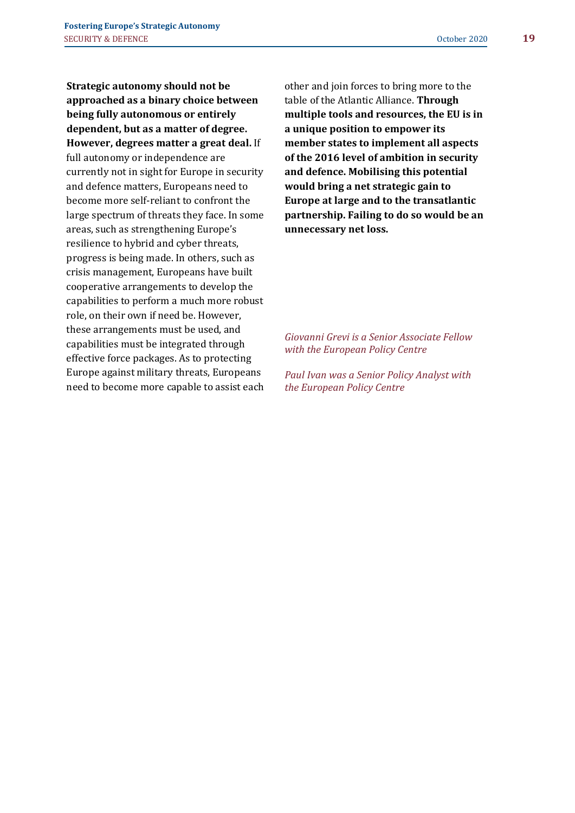**Strategic autonomy should not be approached as a binary choice between being fully autonomous or entirely dependent, but as a matter of degree. However, degrees matter a great deal.** If full autonomy or independence are currently not in sight for Europe in security and defence matters, Europeans need to become more self-reliant to confront the large spectrum of threats they face. In some areas, such as strengthening Europe's resilience to hybrid and cyber threats, progress is being made. In others, such as crisis management, Europeans have built cooperative arrangements to develop the capabilities to perform a much more robust role, on their own if need be. However, these arrangements must be used, and capabilities must be integrated through effective force packages. As to protecting Europe against military threats, Europeans need to become more capable to assist each

other and join forces to bring more to the table of the Atlantic Alliance. **Through multiple tools and resources, the EU is in a unique position to empower its member states to implement all aspects of the 2016 level of ambition in security and defence. Mobilising this potential would bring a net strategic gain to Europe at large and to the transatlantic partnership. Failing to do so would be an unnecessary net loss.** 

*Giovanni Grevi is a Senior Associate Fellow with the European Policy Centre*

*Paul Ivan was a Senior Policy Analyst with the European Policy Centre*